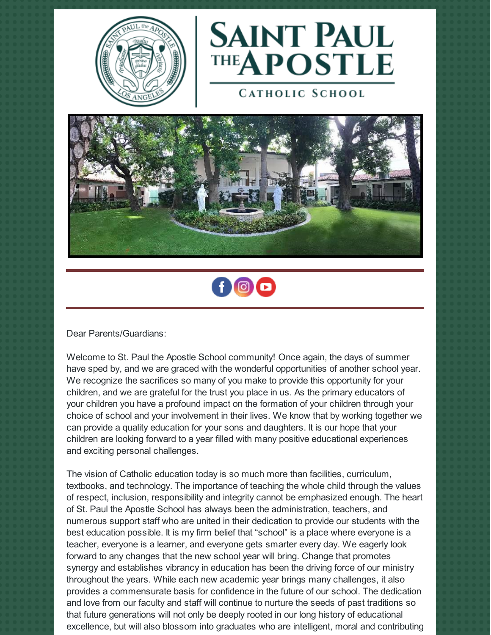



**CATHOLIC SCHOOL** 





Dear Parents/Guardians:

Welcome to St. Paul the Apostle School community! Once again, the days of summer have sped by, and we are graced with the wonderful opportunities of another school year. We recognize the sacrifices so many of you make to provide this opportunity for your children, and we are grateful for the trust you place in us. As the primary educators of your children you have a profound impact on the formation of your children through your choice of school and your involvement in their lives. We know that by working together we can provide a quality education for your sons and daughters. It is our hope that your children are looking forward to a year filled with many positive educational experiences and exciting personal challenges.

The vision of Catholic education today is so much more than facilities, curriculum, textbooks, and technology. The importance of teaching the whole child through the values of respect, inclusion, responsibility and integrity cannot be emphasized enough. The heart of St. Paul the Apostle School has always been the administration, teachers, and numerous support staff who are united in their dedication to provide our students with the best education possible. It is my firm belief that "school" is a place where everyone is a teacher, everyone is a learner, and everyone gets smarter every day. We eagerly look forward to any changes that the new school year will bring. Change that promotes synergy and establishes vibrancy in education has been the driving force of our ministry throughout the years. While each new academic year brings many challenges, it also provides a commensurate basis for confidence in the future of our school. The dedication and love from our faculty and staff will continue to nurture the seeds of past traditions so that future generations will not only be deeply rooted in our long history of educational excellence, but will also blossom into graduates who are intelligent, moral and contributing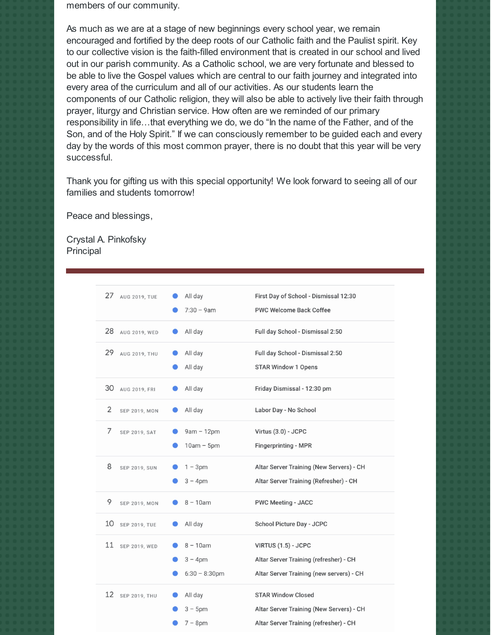members of our community.

As much as we are at a stage of new beginnings every school year, we remain encouraged and fortified by the deep roots of our Catholic faith and the Paulist spirit. Key to our collective vision is the faith-filled environment that is created in our school and lived out in our parish community. As a Catholic school, we are very fortunate and blessed to be able to live the Gospel values which are central to our faith journey and integrated into every area of the curriculum and all of our activities. As our students learn the components of our Catholic religion, they will also be able to actively live their faith through prayer, liturgy and Christian service. How often are we reminded of our primary responsibility in life…that everything we do, we do "In the name of the Father, and of the Son, and of the Holy Spirit." If we can consciously remember to be guided each and every day by the words of this most common prayer, there is no doubt that this year will be very successful.

Thank you for gifting us with this special opportunity! We look forward to seeing all of our families and students tomorrow!

Peace and blessings,

Crystal A. Pinkofsky Principal

| 27 AUG 2019, TUE           | All day<br>$7:30 - 9am$                      | First Day of School - Dismissal 12:30<br><b>PWC Welcome Back Coffee</b>                                         |
|----------------------------|----------------------------------------------|-----------------------------------------------------------------------------------------------------------------|
| 28<br>AUG 2019, WED        | All day                                      | Full day School - Dismissal 2:50                                                                                |
| 29<br><b>AUG 2019, THU</b> | All day<br>All day                           | Full day School - Dismissal 2:50<br><b>STAR Window 1 Opens</b>                                                  |
| 30<br>AUG 2019, FRI        | All day                                      | Friday Dismissal - 12:30 pm                                                                                     |
| 2<br><b>SEP 2019, MON</b>  | All day                                      | Labor Day - No School                                                                                           |
| 7<br>SEP 2019, SAT         | $9am - 12pm$<br>$10am - 5pm$                 | Virtus (3.0) - JCPC<br><b>Fingerprinting - MPR</b>                                                              |
| 8<br><b>SEP 2019, SUN</b>  | $1 - 3pm$<br>$3 - 4pm$                       | Altar Server Training (New Servers) - CH<br>Altar Server Training (Refresher) - CH                              |
| 9<br><b>SEP 2019, MON</b>  | $8 - 10$ am                                  | <b>PWC Meeting - JACC</b>                                                                                       |
| 10 SEP 2019, TUE           | All day                                      | School Picture Day - JCPC                                                                                       |
| 11 SEP 2019, WED           | $8 - 10$ am<br>$3 - 4pm$<br>$6:30 - 8:30$ pm | VIRTUS (1.5) - JCPC<br>Altar Server Training (refresher) - CH<br>Altar Server Training (new servers) - CH       |
| 12 SEP 2019, THU           | All day<br>$3 - 5pm$<br>$7 - 8pm$            | <b>STAR Window Closed</b><br>Altar Server Training (New Servers) - CH<br>Altar Server Training (refresher) - CH |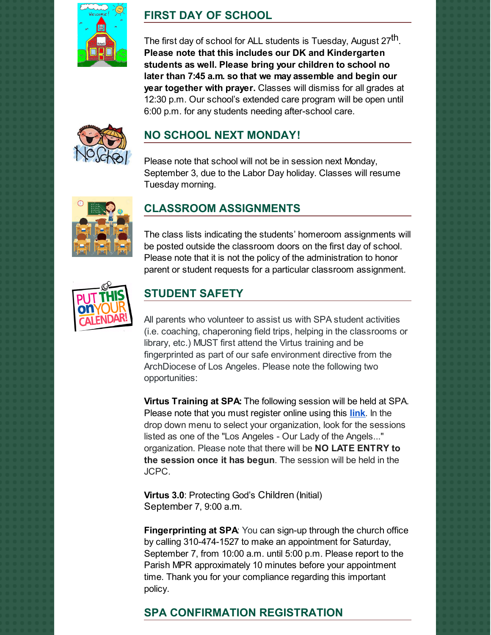

# **FIRST DAY OF SCHOOL**

The first day of school for ALL students is Tuesday, August 27 $^{\sf th}$ . **Please note that this includes our DK and Kindergarten students as well. Please bring your children to school no later than 7:45 a.m. so that we may assemble and begin our year together with prayer.** Classes will dismiss for all grades at 12:30 p.m. Our school's extended care program will be open until 6:00 p.m. for any students needing after-school care.



# **NO SCHOOL NEXT MONDAY!**

Please note that school will not be in session next Monday, September 3, due to the Labor Day holiday. Classes will resume Tuesday morning.



## **CLASSROOM ASSIGNMENTS**

The class lists indicating the students' homeroom assignments will be posted outside the classroom doors on the first day of school. Please note that it is not the policy of the administration to honor parent or student requests for a particular classroom assignment.



## **STUDENT SAFETY**

All parents who volunteer to assist us with SPA student activities (i.e. coaching, chaperoning field trips, helping in the classrooms or library, etc.) MUST first attend the Virtus training and be fingerprinted as part of our safe environment directive from the ArchDiocese of Los Angeles. Please note the following two opportunities:

**Virtus Training at SPA:** The following session will be held at SPA. Please note that you must register online using this **[link](https://www.virtusonline.org/virtus/reg_list.cfm?theme=0)**. In the drop down menu to select your organization, look for the sessions listed as one of the "Los Angeles - Our Lady of the Angels..." organization. Please note that there will be **NO LATE ENTRY to the session once it has begun**. The session will be held in the JCPC.

**Virtus 3.0: Protecting God's Children (Initial)** September 7, 9:00 a.m.

**Fingerprinting at SPA**: You can sign-up through the church office by calling 310-474-1527 to make an appointment for Saturday, September 7, from 10:00 a.m. until 5:00 p.m. Please report to the Parish MPR approximately 10 minutes before your appointment time. Thank you for your compliance regarding this important policy.

## **SPA CONFIRMATION REGISTRATION**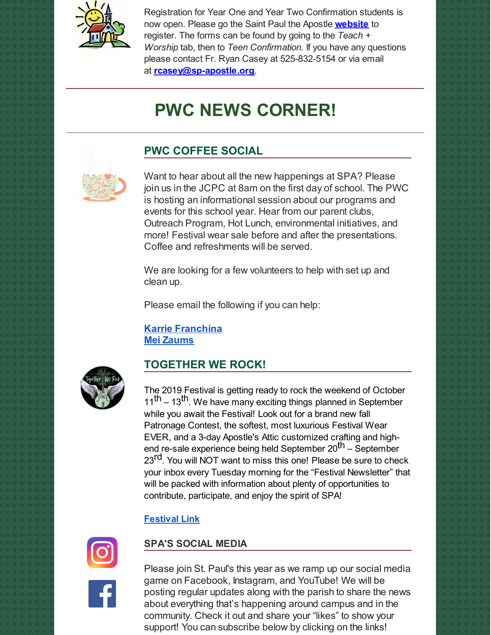

Registration for Year One and Year Two Confirmation students is now open. Please go the Saint Paul the Apostle **[website](http://www.sp-apostle.org/)** to register. The forms can be found by going to the *Teach + Worship* tab, then to *Teen Confirmation*. If you have any questions please contact Fr. Ryan Casey at 525-832-5154 or via email at **[rcasey@sp-apostle.org](mailto:rcasey@sp-apostle.org)**.

# **PWC NEWS CORNER!**



# **PWC COFFEE SOCIAL**

Want to hear about all the new happenings at SPA? Please join us in the JCPC at 8am on the first day of school. The PWC is hosting an informational session about our programs and events for this school year. Hear from our parent clubs, Outreach Program, Hot Lunch, environmental initiatives, and more! Festival wear sale before and after the presentations. Coffee and refreshments will be served.

We are looking for a few volunteers to help with set up and clean up.

Please email the following if you can help:

**Karrie [Franchina](mailto:karriefranchina@gmail.com) Mei [Zaums](mailto:meizaums@gmail.com)**



## **TOGETHER WE ROCK!**

The 2019 Festival is getting ready to rock the weekend of October 11<sup>th</sup> – 13<sup>th</sup>. We have many exciting things planned in September while you await the Festival! Look out for a brand new fall Patronage Contest, the softest, most luxurious Festival Wear EVER, and a 3-day Apostle's Attic customized crafting and highend re-sale experience being held September 20<sup>th</sup> – September 23<sup>rd</sup>. You will NOT want to miss this one! Please be sure to check your inbox every Tuesday morning for the "Festival Newsletter" that will be packed with information about plenty of opportunities to contribute, participate, and enjoy the spirit of SPA!

### **[Festival](http://www.spapwc.com/festival/) Link**



### **SPA'S SOCIAL MEDIA**

Please join St. Paul's this year as we ramp up our social media game on Facebook, Instagram, and YouTube! We will be posting regular updates along with the parish to share the news about everything that's happening around campus and in the community. Check it out and share your "likes" to show your support! You can subscribe below by clicking on the links!